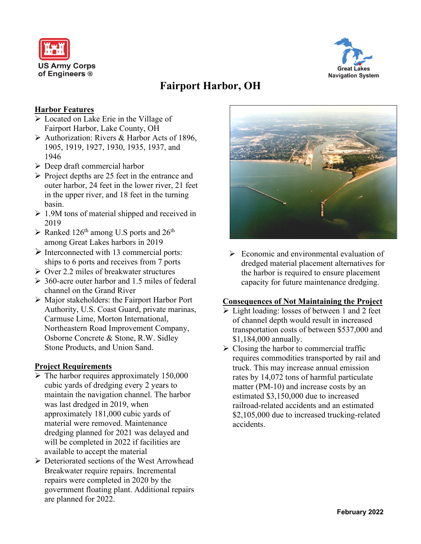



# **Fairport Harbor, OH**

## **Harbor Features**

- ➢ Located on Lake Erie in the Village of Fairport Harbor, Lake County, OH
- ➢ Authorization: Rivers & Harbor Acts of 1896, 1905, 1919, 1927, 1930, 1935, 1937, and 1946
- $\triangleright$  Deep draft commercial harbor
- ➢ Project depths are 25 feet in the entrance and outer harbor, 24 feet in the lower river, 21 feet in the upper river, and 18 feet in the turning basin.
- $\geq 1.9M$  tons of material shipped and received in 2019
- $\triangleright$  Ranked 126<sup>th</sup> among U.S ports and 26<sup>th</sup> among Great Lakes harbors in 2019
- $\triangleright$  Interconnected with 13 commercial ports: ships to 6 ports and receives from 7 ports
- ➢ Over 2.2 miles of breakwater structures
- $\geq 360$ -acre outer harbor and 1.5 miles of federal channel on the Grand River
- ➢ Major stakeholders: the Fairport Harbor Port Authority, U.S. Coast Guard, private marinas, Carmuse Lime, Morton International, Northeastern Road Improvement Company, Osborne Concrete & Stone, R.W. Sidley Stone Products, and Union Sand.

## **Project Requirements**

- $\triangleright$  The harbor requires approximately 150,000 cubic yards of dredging every 2 years to maintain the navigation channel. The harbor was last dredged in 2019, when approximately 181,000 cubic yards of material were removed. Maintenance dredging planned for 2021 was delayed and will be completed in 2022 if facilities are available to accept the material
- ➢ Deteriorated sections of the West Arrowhead Breakwater require repairs. Incremental repairs were completed in 2020 by the government floating plant. Additional repairs are planned for 2022.



 $\triangleright$  Economic and environmental evaluation of dredged material placement alternatives for the harbor is required to ensure placement capacity for future maintenance dredging.

#### **Consequences of Not Maintaining the Project**

- ➢ Light loading: losses of between 1 and 2 feet of channel depth would result in increased transportation costs of between \$537,000 and \$1,184,000 annually.
- $\triangleright$  Closing the harbor to commercial traffic requires commodities transported by rail and truck. This may increase annual emission rates by 14,072 tons of harmful particulate matter (PM-10) and increase costs by an estimated \$3,150,000 due to increased railroad-related accidents and an estimated \$2,105,000 due to increased trucking-related accidents.